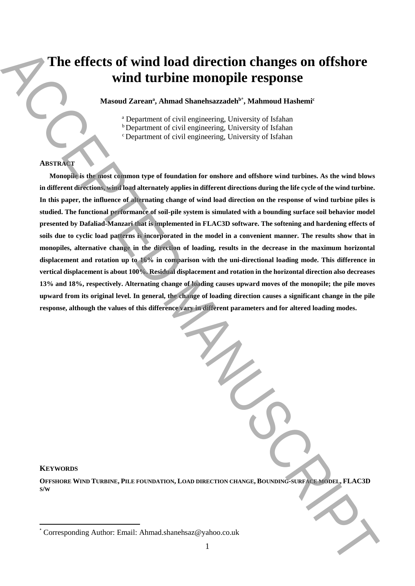# **The effects of wind load direction changes on offshore wind turbine monopile response**

**Masoud Zarean<sup>a</sup> , Ahmad Shanehsazzadehb\* , Mahmoud Hashemi<sup>c</sup>**

<sup>a</sup> Department of civil engineering, University of Isfahan

<sup>b</sup> Department of civil engineering, University of Isfahan

<sup>c</sup> Department of civil engineering, University of Isfahan

# **ABSTRACT**

**Monopile is the most common type of foundation for onshore and offshore wind turbines. As the wind blows in different directions, wind load alternately applies in different directions during the life cycle of the wind turbine. In this paper, the influence of alternating change of wind load direction on the response of wind turbine piles is studied. The functional performance of soil-pile system is simulated with a bounding surface soil behavior model presented by Dafaliad-Manzari that is implemented in FLAC3D software. The softening and hardening effects of soils due to cyclic load patterns is incorporated in the model in a convenient manner. The results show that in monopiles, alternative change in the direction of loading, results in the decrease in the maximum horizontal displacement and rotation up to 16% in comparison with the uni-directional loading mode. This difference in vertical displacement is about 100%. Residual displacement and rotation in the horizontal direction also decreases 13% and 18%, respectively. Alternating change of loading causes upward moves of the monopile; the pile moves upward from its original level. In general, the change of loading direction causes a significant change in the pile response, although the values of this difference vary in different parameters and for altered loading modes.** The effects of wind load direction changes on offshore<br>wind turbine monopile response<br>wind  $z_{\text{mean}}$ , Ahmad Shanehsazadek', Mahmad Hashem'<br>  $\frac{125}{125}$ <br>  $\frac{125}{125}$ <br>  $\frac{125}{125}$ <br>  $\frac{125}{125}$ <br>  $\frac{125}{125}$ <br>  $\frac{12$ 

#### **KEYWORDS**

 $\ddot{\phantom{a}}$ 

OFFSHORE WIND TURBINE, PILE FOUNDATION, LOAD DIRECTION CHANGE, BOUNDING-SURFACE MODEL, FLAC3D **S/W**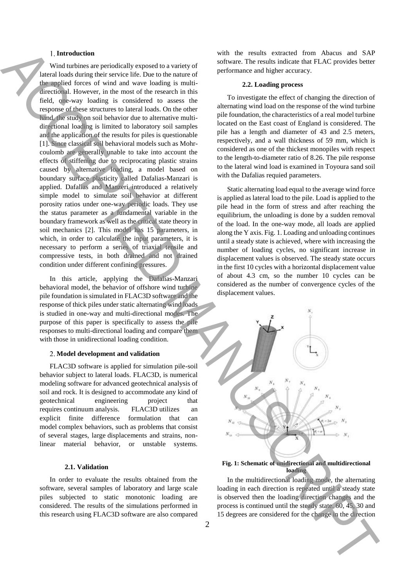# **Introduction**

Wind turbines are periodically exposed to a variety of lateral loads during their service life. Due to the nature of the applied forces of wind and wave loading is multidirectional. However, in the most of the research in this field, one-way loading is considered to assess the response of these structures to lateral loads. On the other hand, the study on soil behavior due to alternative multidirectional loading is limited to laboratory soil samples and the application of the results for piles is questionable [1]. Since classical soil behavioral models such as Mohrcoulomb are generally unable to take into account the effects of stiffening due to reciprocating plastic strains caused by alternative loading, a model based on boundary surface plasticity called Dafalias-Manzari is applied. Dafalias and Manzeri introduced a relatively simple model to simulate soil behavior at different porosity ratios under one-way periodic loads. They use the status parameter as a fundamental variable in the boundary framework as well as the critical state theory in soil mechanics [2]. This model has 15 parameters, in which, in order to calculate the input parameters, it is necessary to perform a series of triaxial tensile and compressive tests, in both drained and not drained condition under different confining pressures. 1 Interded to the change of the change of the change of the change of the change of the change of the change of the change in the change of the change in the change of the change in the change in the change of the change

In this article, applying the Dafalias-Manzari behavioral model, the behavior of offshore wind turbine pile foundation is simulated in FLAC3D software and the response of thick piles under static alternating wind loads is studied in one-way and multi-directional modes. The purpose of this paper is specifically to assess the pile responses to multi-directional loading and compare them with those in unidirectional loading condition.

# **Model development and validation**

FLAC3D software is applied for simulation pile-soil behavior subject to lateral loads. FLAC3D, is numerical modeling software for advanced geotechnical analysis of soil and rock. It is designed to accommodate any kind of geotechnical engineering project that requires continuum analysis. FLAC3D utilizes an explicit finite difference formulation that can model complex behaviors, such as problems that consist of several stages, large displacements and strains, nonlinear material behavior, or unstable systems.

#### **2.1. Validation**

In order to evaluate the results obtained from the software, several samples of laboratory and large scale piles subjected to static monotonic loading are considered. The results of the simulations performed in this research using FLAC3D software are also compared with the results extracted from Abacus and SAP software. The results indicate that FLAC provides better performance and higher accuracy.

#### **2.2. Loading process**

To investigate the effect of changing the direction of alternating wind load on the response of the wind turbine pile foundation, the characteristics of a real model turbine located on the East coast of England is considered. The pile has a length and diameter of 43 and 2.5 meters, respectively, and a wall thickness of 59 mm, which is considered as one of the thickest monopiles with respect to the length-to-diameter ratio of 8.26. The pile response to the lateral wind load is examined in Toyoura sand soil with the Dafalias requied parameters.

Static alternating load equal to the average wind force is applied as lateral load to the pile. Load is applied to the pile head in the form of stress and after reaching the equilibrium, the unloading is done by a sudden removal of the load. In the one-way mode, all loads are applied along the Y axis. Fig. 1. Loading and unloading continues until a steady state is achieved, where with increasing the number of loading cycles, no significant increase in displacement values is observed. The steady state occurs in the first 10 cycles with a horizontal displacement value of about 4.3 cm, so the number 10 cycles can be considered as the number of convergence cycles of the displacement values.



**Fig. 1: Schematic of unidirectional and multidirectional loading**

In the multidirectional loading mode, the alternating loading in each direction is repeated until a steady state is observed then the loading direction changes and the process is continued until the steady state. 60, 45, 30 and